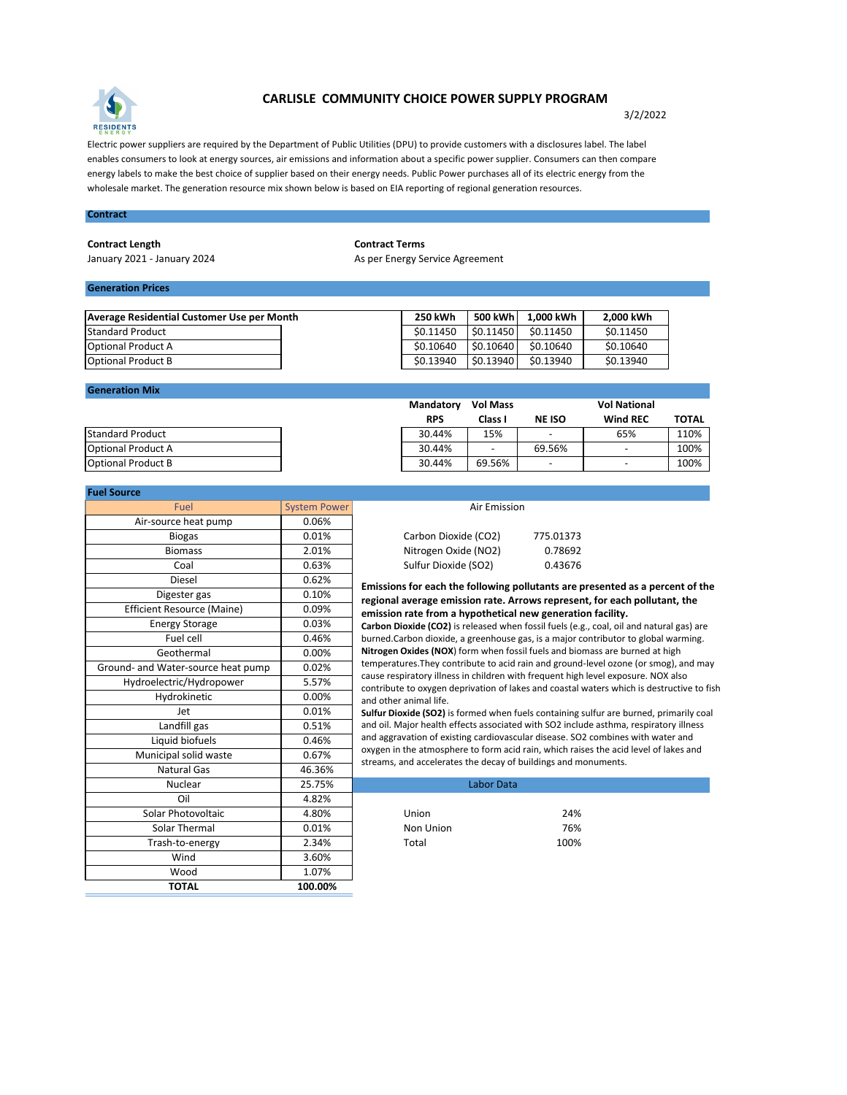

## **CARLISLE COMMUNITY CHOICE POWER SUPPLY PROGRAM**

3/2/2022

Electric power suppliers are required by the Department of Public Utilities (DPU) to provide customers with a disclosures label. The label enables consumers to look at energy sources, air emissions and information about a specific power supplier. Consumers can then compare energy labels to make the best choice of supplier based on their energy needs. Public Power purchases all of its electric energy from the wholesale market. The generation resource mix shown below is based on EIA reporting of regional generation resources.

### **Contract**

#### **Contract Length Contract Terms**

January 2021 - January 2024 **As per Energy Service Agreement** 

# **Generation Prices**

| Average Residential Customer Use per Month | <b>250 kWh</b> | 500 kWh       | 1,000 kWh | 2,000 kWh |
|--------------------------------------------|----------------|---------------|-----------|-----------|
| Standard Product                           | \$0.11450      | S0.11450      | \$0.11450 | \$0.11450 |
| <b>Optional Product A</b>                  | \$0.10640      | \$0.10640     | \$0.10640 | \$0.10640 |
| <b>IOptional Product B</b>                 | \$0.13940      | $ $ \$0.13940 | \$0.13940 | \$0.13940 |

#### **Generation Mix**

| <b>Standard Product</b>   |
|---------------------------|
| <b>Optional Product A</b> |
| <b>Optional Product B</b> |

| <b>System Power</b> |                                                                                                                                                                                                                                                                                                                       |                                                                                                                                                                                                                                                                                                               |  |  |
|---------------------|-----------------------------------------------------------------------------------------------------------------------------------------------------------------------------------------------------------------------------------------------------------------------------------------------------------------------|---------------------------------------------------------------------------------------------------------------------------------------------------------------------------------------------------------------------------------------------------------------------------------------------------------------|--|--|
| 0.06%               |                                                                                                                                                                                                                                                                                                                       |                                                                                                                                                                                                                                                                                                               |  |  |
| 0.01%               | Carbon Dioxide (CO2)                                                                                                                                                                                                                                                                                                  | 775.01373                                                                                                                                                                                                                                                                                                     |  |  |
| 2.01%               | Nitrogen Oxide (NO2)                                                                                                                                                                                                                                                                                                  | 0.78692                                                                                                                                                                                                                                                                                                       |  |  |
| 0.63%               | Sulfur Dioxide (SO2)                                                                                                                                                                                                                                                                                                  | 0.43676                                                                                                                                                                                                                                                                                                       |  |  |
| 0.62%               |                                                                                                                                                                                                                                                                                                                       |                                                                                                                                                                                                                                                                                                               |  |  |
| 0.10%               |                                                                                                                                                                                                                                                                                                                       |                                                                                                                                                                                                                                                                                                               |  |  |
| 0.09%               |                                                                                                                                                                                                                                                                                                                       |                                                                                                                                                                                                                                                                                                               |  |  |
| 0.03%               | Carbon Dioxide (CO2) is released when fossil fuels (e.<br>burned.Carbon dioxide, a greenhouse gas, is a major o                                                                                                                                                                                                       |                                                                                                                                                                                                                                                                                                               |  |  |
| 0.46%               |                                                                                                                                                                                                                                                                                                                       |                                                                                                                                                                                                                                                                                                               |  |  |
| 0.00%               | Nitrogen Oxides (NOX) form when fossil fuels and bic<br>temperatures. They contribute to acid rain and ground                                                                                                                                                                                                         |                                                                                                                                                                                                                                                                                                               |  |  |
| 0.02%               |                                                                                                                                                                                                                                                                                                                       |                                                                                                                                                                                                                                                                                                               |  |  |
| 5.57%               | contribute to oxygen deprivation of lakes and coastal<br>and other animal life.<br>Sulfur Dioxide (SO2) is formed when fuels containing<br>and oil. Major health effects associated with SO2 inclu<br>and aggravation of existing cardiovascular disease. SC<br>oxygen in the atmosphere to form acid rain, which rai |                                                                                                                                                                                                                                                                                                               |  |  |
| 0.00%               |                                                                                                                                                                                                                                                                                                                       |                                                                                                                                                                                                                                                                                                               |  |  |
| 0.01%               |                                                                                                                                                                                                                                                                                                                       |                                                                                                                                                                                                                                                                                                               |  |  |
| 0.51%               |                                                                                                                                                                                                                                                                                                                       |                                                                                                                                                                                                                                                                                                               |  |  |
| 0.46%               |                                                                                                                                                                                                                                                                                                                       |                                                                                                                                                                                                                                                                                                               |  |  |
| 0.67%               |                                                                                                                                                                                                                                                                                                                       |                                                                                                                                                                                                                                                                                                               |  |  |
| 46.36%              |                                                                                                                                                                                                                                                                                                                       |                                                                                                                                                                                                                                                                                                               |  |  |
| 25.75%              |                                                                                                                                                                                                                                                                                                                       |                                                                                                                                                                                                                                                                                                               |  |  |
| 4.82%               |                                                                                                                                                                                                                                                                                                                       |                                                                                                                                                                                                                                                                                                               |  |  |
| 4.80%               | Union                                                                                                                                                                                                                                                                                                                 | 24%                                                                                                                                                                                                                                                                                                           |  |  |
| 0.01%               | Non Union                                                                                                                                                                                                                                                                                                             | 76%                                                                                                                                                                                                                                                                                                           |  |  |
| 2.34%               | Total                                                                                                                                                                                                                                                                                                                 | 100%                                                                                                                                                                                                                                                                                                          |  |  |
| 3.60%               |                                                                                                                                                                                                                                                                                                                       |                                                                                                                                                                                                                                                                                                               |  |  |
| 1.07%               |                                                                                                                                                                                                                                                                                                                       |                                                                                                                                                                                                                                                                                                               |  |  |
| 100.00%             |                                                                                                                                                                                                                                                                                                                       |                                                                                                                                                                                                                                                                                                               |  |  |
|                     |                                                                                                                                                                                                                                                                                                                       | Air Emission<br>Emissions for each the following pollutants are<br>regional average emission rate. Arrows represe<br>emission rate from a hypothetical new generati<br>cause respiratory illness in children with frequent high<br>streams, and accelerates the decay of buildings and m<br><b>Labor Data</b> |  |  |

| _________________         |                  |                 |                          |                          |              |  |  |
|---------------------------|------------------|-----------------|--------------------------|--------------------------|--------------|--|--|
|                           | <b>Mandatory</b> | <b>Vol Mass</b> |                          | <b>Vol National</b>      |              |  |  |
|                           | <b>RPS</b>       | Class I         | <b>NE ISO</b>            | <b>Wind REC</b>          | <b>TOTAL</b> |  |  |
| <b>Standard Product</b>   | 30.44%           | 15%             | $\overline{\phantom{0}}$ | 65%                      | 110%         |  |  |
| <b>Optional Product A</b> | 30.44%           | -               | 69.56%                   | $\overline{\phantom{a}}$ | 100%         |  |  |
| <b>Optional Product B</b> | 30.44%           | 69.56%          | $\overline{\phantom{0}}$ | -                        | 100%         |  |  |
|                           |                  |                 |                          |                          |              |  |  |

| AIL EINISSION        |          |
|----------------------|----------|
| Carbon Dioxide (CO2) | 775.0137 |
| Nitrogen Oxide (NO2) | 0.7869   |
| Sulfur Dioxide (SO2) | 0.4367   |

**Emissions for each the following pollutants are presented as a percent of the regional average emission rate. Arrows represent, for each pollutant, the emission rate from a hypothetical new generation facility.**

**Carbon Dioxide (CO2)** is released when fossil fuels (e.g., coal, oil and natural gas) are burned.Carbon dioxide, a greenhouse gas, is a major contributor to global warming. **Nitrogen Oxides (NOX**) form when fossil fuels and biomass are burned at high temperatures.They contribute to acid rain and ground-level ozone (or smog), and may cause respiratory illness in children with frequent high level exposure. NOX also contribute to oxygen deprivation of lakes and coastal waters which is destructive to fish and other animal life.

**Sulfur Dioxide (SO2)** is formed when fuels containing sulfur are burned, primarily coal and oil. Major health effects associated with SO2 include asthma, respiratory illness and aggravation of existing cardiovascular disease. SO2 combines with water and oxygen in the atmosphere to form acid rain, which raises the acid level of lakes and streams, and accelerates the decay of buildings and monuments.

|           | Labor Data |      |  |
|-----------|------------|------|--|
|           |            |      |  |
| Union     |            | 24%  |  |
| Non Union |            | 76%  |  |
| Total     |            | 100% |  |